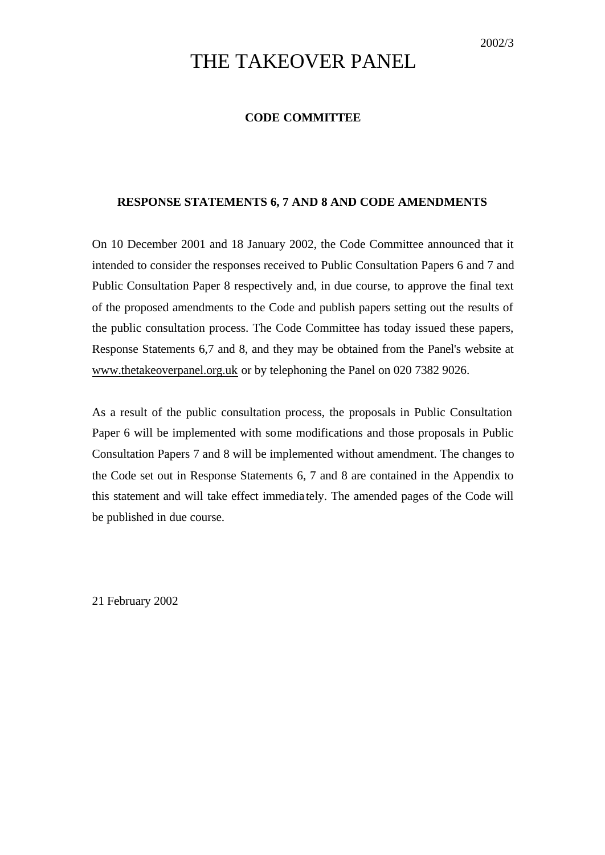# THE TAKEOVER PANEL

## **CODE COMMITTEE**

## **RESPONSE STATEMENTS 6, 7 AND 8 AND CODE AMENDMENTS**

On 10 December 2001 and 18 January 2002, the Code Committee announced that it intended to consider the responses received to Public Consultation Papers 6 and 7 and Public Consultation Paper 8 respectively and, in due course, to approve the final text of the proposed amendments to the Code and publish papers setting out the results of the public consultation process. The Code Committee has today issued these papers, Response Statements 6,7 and 8, and they may be obtained from the Panel's website at www.thetakeoverpanel.org.uk or by telephoning the Panel on 020 7382 9026.

As a result of the public consultation process, the proposals in Public Consultation Paper 6 will be implemented with some modifications and those proposals in Public Consultation Papers 7 and 8 will be implemented without amendment. The changes to the Code set out in Response Statements 6, 7 and 8 are contained in the Appendix to this statement and will take effect immedia tely. The amended pages of the Code will be published in due course.

21 February 2002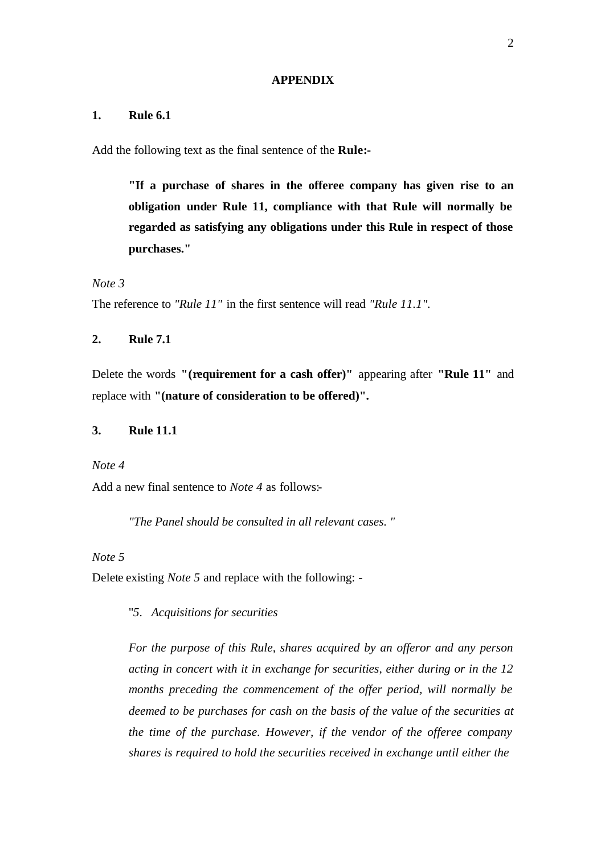#### **APPENDIX**

## **1. Rule 6.1**

Add the following text as the final sentence of the **Rule:-**

**"If a purchase of shares in the offeree company has given rise to an obligation under Rule 11, compliance with that Rule will normally be regarded as satisfying any obligations under this Rule in respect of those purchases."**

*Note 3*

The reference to *"Rule 11"* in the first sentence will read *"Rule 11.1".*

## **2. Rule 7.1**

Delete the words **"(requirement for a cash offer)"** appearing after **"Rule 11"** and replace with **"(nature of consideration to be offered)".**

## **3. Rule 11.1**

*Note 4*

Add a new final sentence to *Note 4* as follows:-

*"The Panel should be consulted in all relevant cases. "*

## *Note 5*

Delete existing *Note 5* and replace with the following: -

"*5*. *Acquisitions for securities*

*For the purpose of this Rule, shares acquired by an offeror and any person acting in concert with it in exchange for securities, either during or in the 12 months preceding the commencement of the offer period, will normally be deemed to be purchases for cash on the basis of the value of the securities at the time of the purchase. However, if the vendor of the offeree company shares is required to hold the securities received in exchange until either the*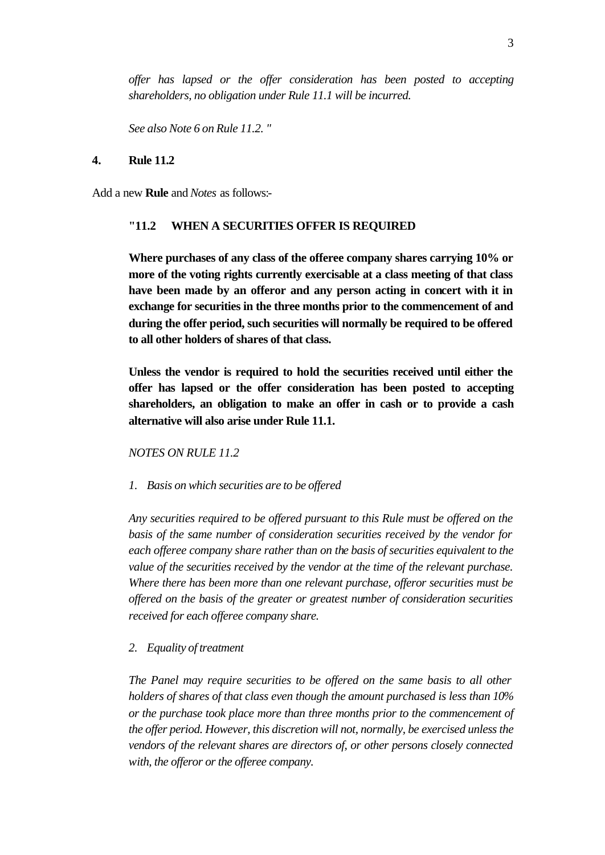*offer has lapsed or the offer consideration has been posted to accepting shareholders, no obligation under Rule 11.1 will be incurred.*

*See also Note 6 on Rule 11.2. "*

#### **4. Rule 11.2**

Add a new **Rule** and *Notes* as follows:-

#### **"11.2 WHEN A SECURITIES OFFER IS REQUIRED**

**Where purchases of any class of the offeree company shares carrying 10% or more of the voting rights currently exercisable at a class meeting of that class have been made by an offeror and any person acting in concert with it in exchange for securities in the three months prior to the commencement of and during the offer period, such securities will normally be required to be offered to all other holders of shares of that class.**

**Unless the vendor is required to hold the securities received until either the offer has lapsed or the offer consideration has been posted to accepting shareholders, an obligation to make an offer in cash or to provide a cash alternative will also arise under Rule 11.1.**

*NOTES ON RULE 11.2*

*1. Basis on which securities are to be offered*

*Any securities required to be offered pursuant to this Rule must be offered on the basis of the same number of consideration securities received by the vendor for each offeree company share rather than on the basis of securities equivalent to the value of the securities received by the vendor at the time of the relevant purchase. Where there has been more than one relevant purchase, offeror securities must be offered on the basis of the greater or greatest number of consideration securities received for each offeree company share.*

*2. Equality of treatment*

*The Panel may require securities to be offered on the same basis to all other holders of shares of that class even though the amount purchased is less than 10% or the purchase took place more than three months prior to the commencement of the offer period. However, this discretion will not, normally, be exercised unless the vendors of the relevant shares are directors of, or other persons closely connected with, the offeror or the offeree company.*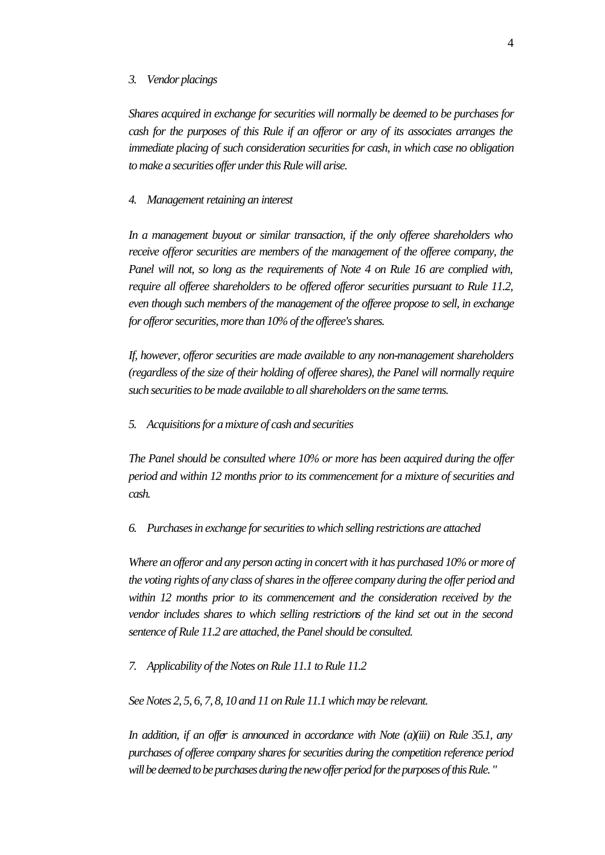#### *3. Vendor placings*

*Shares acquired in exchange for securities will normally be deemed to be purchases for cash for the purposes of this Rule if an offeror or any of its associates arranges the immediate placing of such consideration securities for cash, in which case no obligation to make a securities offer under this Rule will arise.*

#### *4. Management retaining an interest*

*In a management buyout or similar transaction, if the only offeree shareholders who receive offeror securities are members of the management of the offeree company, the Panel will not, so long as the requirements of Note 4 on Rule 16 are complied with, require all offeree shareholders to be offered offeror securities pursuant to Rule 11.2, even though such members of the management of the offeree propose to sell, in exchange for offeror securities, more than 10% of the offeree's shares.*

*If, however, offeror securities are made available to any non-management shareholders (regardless of the size of their holding of offeree shares), the Panel will normally require such securities to be made available to all shareholders on the same terms.*

*5. Acquisitions for a mixture of cash and securities*

*The Panel should be consulted where 10% or more has been acquired during the offer period and within 12 months prior to its commencement for a mixture of securities and cash.*

*6. Purchases in exchange for securities to which selling restrictions are attached*

*Where an offeror and any person acting in concert with it has purchased 10% or more of the voting rights of any class of shares in the offeree company during the offer period and within 12 months prior to its commencement and the consideration received by the vendor includes shares to which selling restrictions of the kind set out in the second sentence of Rule 11.2 are attached, the Panel should be consulted.*

*7. Applicability of the Notes on Rule 11.1 to Rule 11.2*

*See Notes 2, 5, 6, 7, 8, 10 and 11 on Rule 11.1 which may be relevant.*

*In addition, if an offer is announced in accordance with Note (a)(iii) on Rule 35.1, any purchases of offeree company shares for securities during the competition reference period will be deemed to be purchases during the new offer period for the purposes of this Rule. "*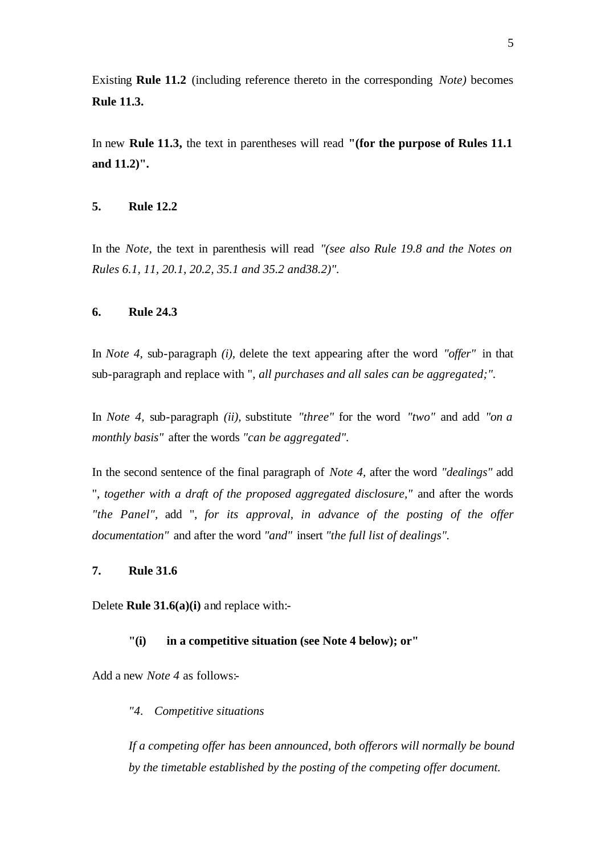Existing **Rule 11.2** (including reference thereto in the corresponding *Note)* becomes **Rule 11.3.**

In new **Rule 11.3,** the text in parentheses will read **"(for the purpose of Rules 11.1 and 11.2)".**

## **5. Rule 12.2**

In the *Note,* the text in parenthesis will read *"(see also Rule 19.8 and the Notes on Rules 6.1, 11, 20.1, 20.2, 35.1 and 35.2 and38.2)".*

#### **6. Rule 24.3**

In *Note 4,* sub-paragraph *(i),* delete the text appearing after the word *"offer"* in that sub-paragraph and replace with ", *all purchases and all sales can be aggregated;".*

In *Note 4,* sub-paragraph *(ii),* substitute *"three"* for the word *"two"* and add *"on a monthly basis"* after the words *"can be aggregated".*

In the second sentence of the final paragraph of *Note 4,* after the word *"dealings"* add ", *together with a draft of the proposed aggregated disclosure,"* and after the words *"the Panel",* add ", *for its approval, in advance of the posting of the offer documentation"* and after the word *"and"* insert *"the full list of dealings".*

## **7. Rule 31.6**

Delete **Rule 31.6(a)(i)** and replace with:-

## **"(i) in a competitive situation (see Note 4 below); or"**

Add a new *Note 4* as follows:-

## *"4. Competitive situations*

*If a competing offer has been announced, both offerors will normally be bound by the timetable established by the posting of the competing offer document.*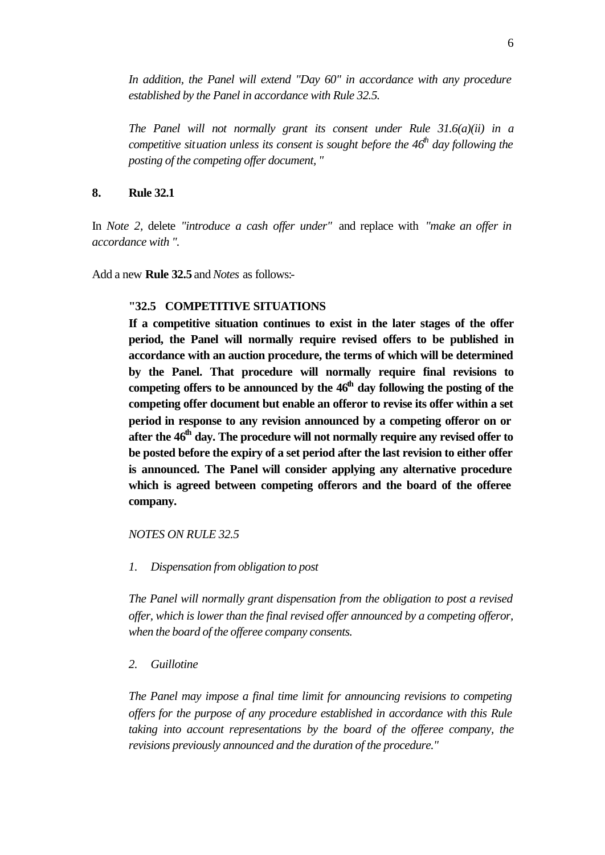*In addition, the Panel will extend "Day 60" in accordance with any procedure established by the Panel in accordance with Rule 32.5.*

*The Panel will not normally grant its consent under Rule 31.6(a)(ii) in a competitive situation unless its consent is sought before the 46th day following the posting of the competing offer document, "*

## **8. Rule 32.1**

In *Note 2,* delete *"introduce a cash offer under"* and replace with *"make an offer in accordance with ".*

Add a new **Rule 32.5** and *Notes* as follows:-

## **"32.5 COMPETITIVE SITUATIONS**

**If a competitive situation continues to exist in the later stages of the offer period, the Panel will normally require revised offers to be published in accordance with an auction procedure, the terms of which will be determined by the Panel. That procedure will normally require final revisions to competing offers to be announced by the 46th day following the posting of the competing offer document but enable an offeror to revise its offer within a set period in response to any revision announced by a competing offeror on or after the 46th day. The procedure will not normally require any revised offer to be posted before the expiry of a set period after the last revision to either offer is announced. The Panel will consider applying any alternative procedure which is agreed between competing offerors and the board of the offeree company.**

*NOTES ON RULE 32.5*

*1. Dispensation from obligation to post*

*The Panel will normally grant dispensation from the obligation to post a revised offer, which is lower than the final revised offer announced by a competing offeror, when the board of the offeree company consents.*

*2. Guillotine*

*The Panel may impose a final time limit for announcing revisions to competing offers for the purpose of any procedure established in accordance with this Rule taking into account representations by the board of the offeree company, the revisions previously announced and the duration of the procedure."*